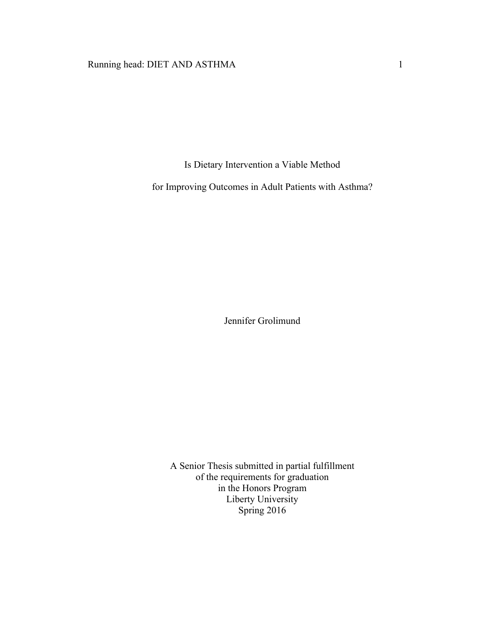# Running head: DIET AND ASTHMA 1

Is Dietary Intervention a Viable Method

for Improving Outcomes in Adult Patients with Asthma?

Jennifer Grolimund

A Senior Thesis submitted in partial fulfillment of the requirements for graduation in the Honors Program Liberty University Spring 2016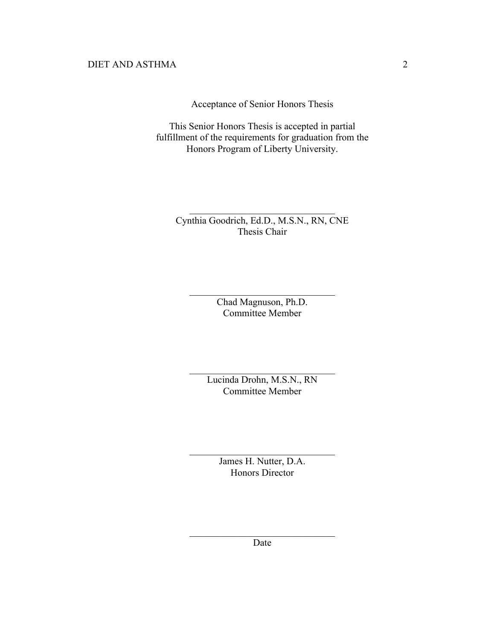Acceptance of Senior Honors Thesis

This Senior Honors Thesis is accepted in partial fulfillment of the requirements for graduation from the Honors Program of Liberty University.

Cynthia Goodrich, Ed.D., M.S.N., RN, CNE Thesis Chair

 $\mathcal{L}_\text{max}$  , where  $\mathcal{L}_\text{max}$  and  $\mathcal{L}_\text{max}$  and  $\mathcal{L}_\text{max}$ 

Chad Magnuson, Ph.D. Committee Member

 $\mathcal{L}_\text{max}$  , where  $\mathcal{L}_\text{max}$  and  $\mathcal{L}_\text{max}$  and  $\mathcal{L}_\text{max}$ 

Lucinda Drohn, M.S.N., RN Committee Member

 $\mathcal{L}_\text{max}$  , where  $\mathcal{L}_\text{max}$  and  $\mathcal{L}_\text{max}$  and  $\mathcal{L}_\text{max}$ 

James H. Nutter, D.A. Honors Director

 $\mathcal{L}_\text{max}$ 

 $\mathcal{L}_\text{max}$  , where  $\mathcal{L}_\text{max}$  and  $\mathcal{L}_\text{max}$  and  $\mathcal{L}_\text{max}$ Date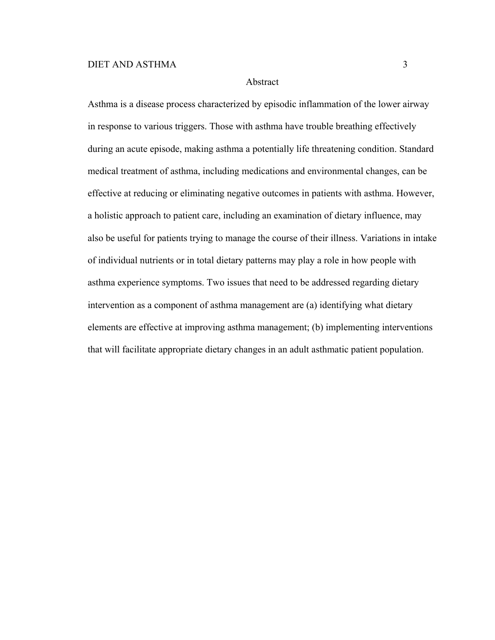# Abstract

Asthma is a disease process characterized by episodic inflammation of the lower airway in response to various triggers. Those with asthma have trouble breathing effectively during an acute episode, making asthma a potentially life threatening condition. Standard medical treatment of asthma, including medications and environmental changes, can be effective at reducing or eliminating negative outcomes in patients with asthma. However, a holistic approach to patient care, including an examination of dietary influence, may also be useful for patients trying to manage the course of their illness. Variations in intake of individual nutrients or in total dietary patterns may play a role in how people with asthma experience symptoms. Two issues that need to be addressed regarding dietary intervention as a component of asthma management are (a) identifying what dietary elements are effective at improving asthma management; (b) implementing interventions that will facilitate appropriate dietary changes in an adult asthmatic patient population.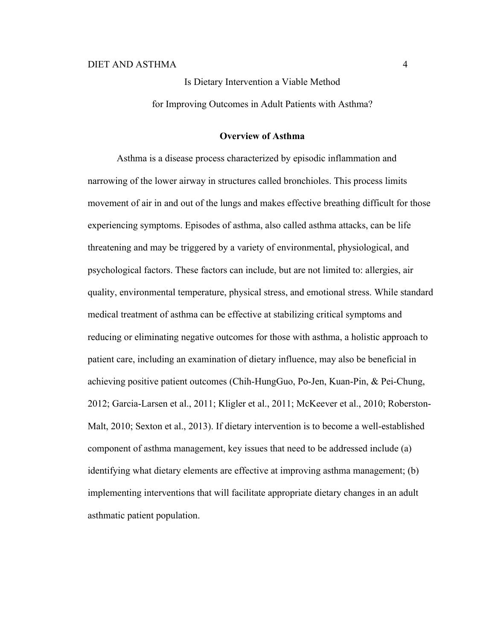Is Dietary Intervention a Viable Method

for Improving Outcomes in Adult Patients with Asthma?

### **Overview of Asthma**

Asthma is a disease process characterized by episodic inflammation and narrowing of the lower airway in structures called bronchioles. This process limits movement of air in and out of the lungs and makes effective breathing difficult for those experiencing symptoms. Episodes of asthma, also called asthma attacks, can be life threatening and may be triggered by a variety of environmental, physiological, and psychological factors. These factors can include, but are not limited to: allergies, air quality, environmental temperature, physical stress, and emotional stress. While standard medical treatment of asthma can be effective at stabilizing critical symptoms and reducing or eliminating negative outcomes for those with asthma, a holistic approach to patient care, including an examination of dietary influence, may also be beneficial in achieving positive patient outcomes (Chih-HungGuo, Po-Jen, Kuan-Pin, & Pei-Chung, 2012; Garcia-Larsen et al., 2011; Kligler et al., 2011; McKeever et al., 2010; Roberston-Malt, 2010; Sexton et al., 2013). If dietary intervention is to become a well-established component of asthma management, key issues that need to be addressed include (a) identifying what dietary elements are effective at improving asthma management; (b) implementing interventions that will facilitate appropriate dietary changes in an adult asthmatic patient population.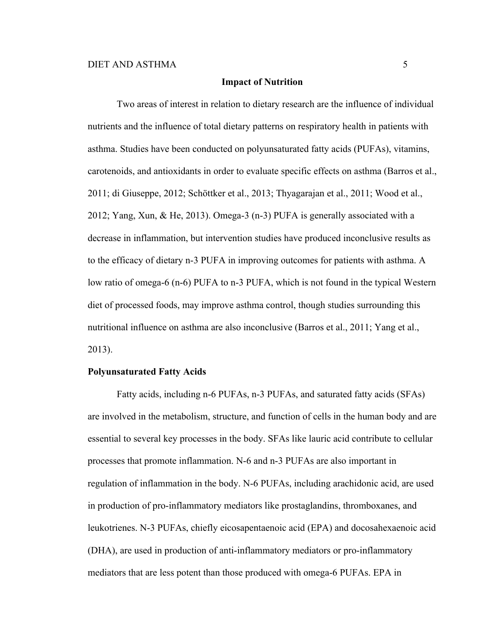## **Impact of Nutrition**

Two areas of interest in relation to dietary research are the influence of individual nutrients and the influence of total dietary patterns on respiratory health in patients with asthma. Studies have been conducted on polyunsaturated fatty acids (PUFAs), vitamins, carotenoids, and antioxidants in order to evaluate specific effects on asthma (Barros et al., 2011; di Giuseppe, 2012; Schöttker et al., 2013; Thyagarajan et al., 2011; Wood et al., 2012; Yang, Xun, & He, 2013). Omega-3 (n-3) PUFA is generally associated with a decrease in inflammation, but intervention studies have produced inconclusive results as to the efficacy of dietary n-3 PUFA in improving outcomes for patients with asthma. A low ratio of omega-6 (n-6) PUFA to n-3 PUFA, which is not found in the typical Western diet of processed foods, may improve asthma control, though studies surrounding this nutritional influence on asthma are also inconclusive (Barros et al., 2011; Yang et al., 2013).

## **Polyunsaturated Fatty Acids**

Fatty acids, including n-6 PUFAs, n-3 PUFAs, and saturated fatty acids (SFAs) are involved in the metabolism, structure, and function of cells in the human body and are essential to several key processes in the body. SFAs like lauric acid contribute to cellular processes that promote inflammation. N-6 and n-3 PUFAs are also important in regulation of inflammation in the body. N-6 PUFAs, including arachidonic acid, are used in production of pro-inflammatory mediators like prostaglandins, thromboxanes, and leukotrienes. N-3 PUFAs, chiefly eicosapentaenoic acid (EPA) and docosahexaenoic acid (DHA), are used in production of anti-inflammatory mediators or pro-inflammatory mediators that are less potent than those produced with omega-6 PUFAs. EPA in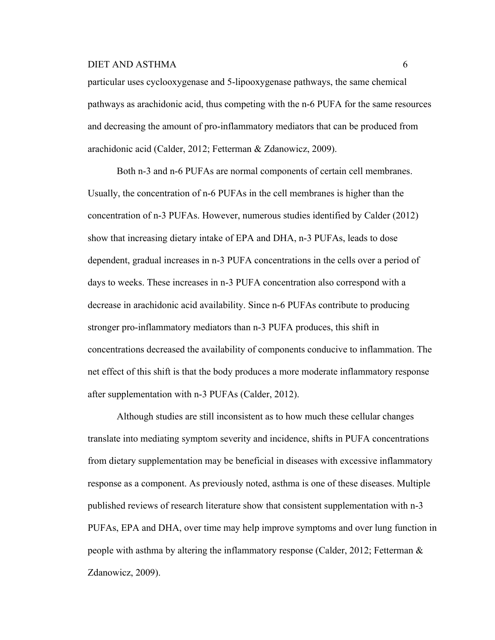particular uses cyclooxygenase and 5-lipooxygenase pathways, the same chemical pathways as arachidonic acid, thus competing with the n-6 PUFA for the same resources and decreasing the amount of pro-inflammatory mediators that can be produced from arachidonic acid (Calder, 2012; Fetterman & Zdanowicz, 2009).

Both n-3 and n-6 PUFAs are normal components of certain cell membranes. Usually, the concentration of n-6 PUFAs in the cell membranes is higher than the concentration of n-3 PUFAs. However, numerous studies identified by Calder (2012) show that increasing dietary intake of EPA and DHA, n-3 PUFAs, leads to dose dependent, gradual increases in n-3 PUFA concentrations in the cells over a period of days to weeks. These increases in n-3 PUFA concentration also correspond with a decrease in arachidonic acid availability. Since n-6 PUFAs contribute to producing stronger pro-inflammatory mediators than n-3 PUFA produces, this shift in concentrations decreased the availability of components conducive to inflammation. The net effect of this shift is that the body produces a more moderate inflammatory response after supplementation with n-3 PUFAs (Calder, 2012).

Although studies are still inconsistent as to how much these cellular changes translate into mediating symptom severity and incidence, shifts in PUFA concentrations from dietary supplementation may be beneficial in diseases with excessive inflammatory response as a component. As previously noted, asthma is one of these diseases. Multiple published reviews of research literature show that consistent supplementation with n-3 PUFAs, EPA and DHA, over time may help improve symptoms and over lung function in people with asthma by altering the inflammatory response (Calder, 2012; Fetterman & Zdanowicz, 2009).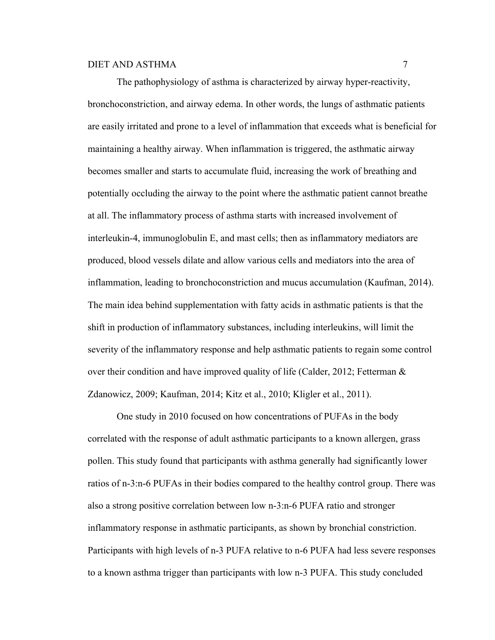The pathophysiology of asthma is characterized by airway hyper-reactivity, bronchoconstriction, and airway edema. In other words, the lungs of asthmatic patients are easily irritated and prone to a level of inflammation that exceeds what is beneficial for maintaining a healthy airway. When inflammation is triggered, the asthmatic airway becomes smaller and starts to accumulate fluid, increasing the work of breathing and potentially occluding the airway to the point where the asthmatic patient cannot breathe at all. The inflammatory process of asthma starts with increased involvement of interleukin-4, immunoglobulin E, and mast cells; then as inflammatory mediators are produced, blood vessels dilate and allow various cells and mediators into the area of inflammation, leading to bronchoconstriction and mucus accumulation (Kaufman, 2014). The main idea behind supplementation with fatty acids in asthmatic patients is that the shift in production of inflammatory substances, including interleukins, will limit the severity of the inflammatory response and help asthmatic patients to regain some control over their condition and have improved quality of life (Calder, 2012; Fetterman & Zdanowicz, 2009; Kaufman, 2014; Kitz et al., 2010; Kligler et al., 2011).

One study in 2010 focused on how concentrations of PUFAs in the body correlated with the response of adult asthmatic participants to a known allergen, grass pollen. This study found that participants with asthma generally had significantly lower ratios of n-3:n-6 PUFAs in their bodies compared to the healthy control group. There was also a strong positive correlation between low n-3:n-6 PUFA ratio and stronger inflammatory response in asthmatic participants, as shown by bronchial constriction. Participants with high levels of n-3 PUFA relative to n-6 PUFA had less severe responses to a known asthma trigger than participants with low n-3 PUFA. This study concluded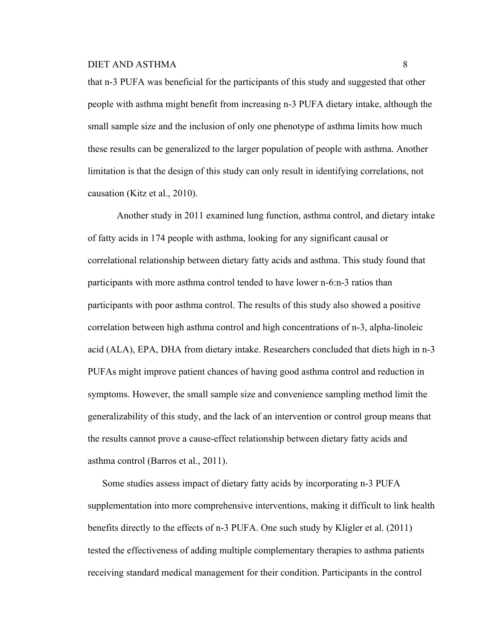that n-3 PUFA was beneficial for the participants of this study and suggested that other people with asthma might benefit from increasing n-3 PUFA dietary intake, although the small sample size and the inclusion of only one phenotype of asthma limits how much these results can be generalized to the larger population of people with asthma. Another limitation is that the design of this study can only result in identifying correlations, not causation (Kitz et al., 2010).

Another study in 2011 examined lung function, asthma control, and dietary intake of fatty acids in 174 people with asthma, looking for any significant causal or correlational relationship between dietary fatty acids and asthma. This study found that participants with more asthma control tended to have lower n-6:n-3 ratios than participants with poor asthma control. The results of this study also showed a positive correlation between high asthma control and high concentrations of n-3, alpha-linoleic acid (ALA), EPA, DHA from dietary intake. Researchers concluded that diets high in n-3 PUFAs might improve patient chances of having good asthma control and reduction in symptoms. However, the small sample size and convenience sampling method limit the generalizability of this study, and the lack of an intervention or control group means that the results cannot prove a cause-effect relationship between dietary fatty acids and asthma control (Barros et al., 2011).

Some studies assess impact of dietary fatty acids by incorporating n-3 PUFA supplementation into more comprehensive interventions, making it difficult to link health benefits directly to the effects of n-3 PUFA. One such study by Kligler et al. (2011) tested the effectiveness of adding multiple complementary therapies to asthma patients receiving standard medical management for their condition. Participants in the control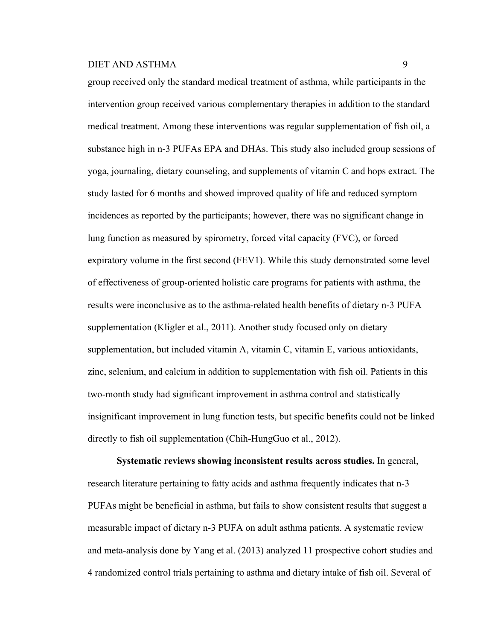group received only the standard medical treatment of asthma, while participants in the intervention group received various complementary therapies in addition to the standard medical treatment. Among these interventions was regular supplementation of fish oil, a substance high in n-3 PUFAs EPA and DHAs. This study also included group sessions of yoga, journaling, dietary counseling, and supplements of vitamin C and hops extract. The study lasted for 6 months and showed improved quality of life and reduced symptom incidences as reported by the participants; however, there was no significant change in lung function as measured by spirometry, forced vital capacity (FVC), or forced expiratory volume in the first second (FEV1). While this study demonstrated some level of effectiveness of group-oriented holistic care programs for patients with asthma, the results were inconclusive as to the asthma-related health benefits of dietary n-3 PUFA supplementation (Kligler et al., 2011). Another study focused only on dietary supplementation, but included vitamin A, vitamin C, vitamin E, various antioxidants, zinc, selenium, and calcium in addition to supplementation with fish oil. Patients in this two-month study had significant improvement in asthma control and statistically insignificant improvement in lung function tests, but specific benefits could not be linked directly to fish oil supplementation (Chih-HungGuo et al., 2012).

**Systematic reviews showing inconsistent results across studies.** In general, research literature pertaining to fatty acids and asthma frequently indicates that n-3 PUFAs might be beneficial in asthma, but fails to show consistent results that suggest a measurable impact of dietary n-3 PUFA on adult asthma patients. A systematic review and meta-analysis done by Yang et al. (2013) analyzed 11 prospective cohort studies and 4 randomized control trials pertaining to asthma and dietary intake of fish oil. Several of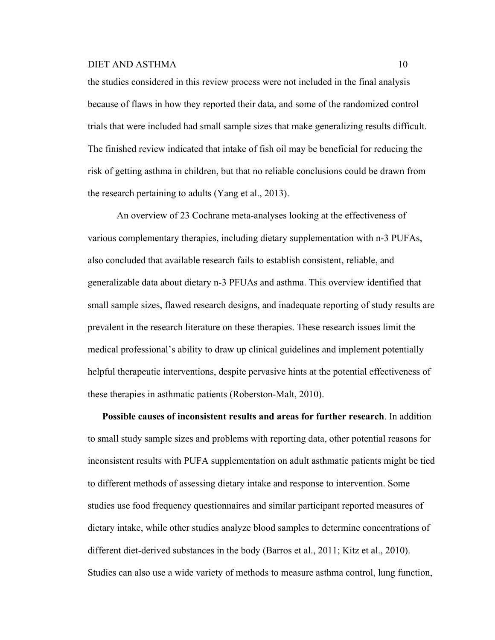the studies considered in this review process were not included in the final analysis because of flaws in how they reported their data, and some of the randomized control trials that were included had small sample sizes that make generalizing results difficult. The finished review indicated that intake of fish oil may be beneficial for reducing the risk of getting asthma in children, but that no reliable conclusions could be drawn from the research pertaining to adults (Yang et al., 2013).

An overview of 23 Cochrane meta-analyses looking at the effectiveness of various complementary therapies, including dietary supplementation with n-3 PUFAs, also concluded that available research fails to establish consistent, reliable, and generalizable data about dietary n-3 PFUAs and asthma. This overview identified that small sample sizes, flawed research designs, and inadequate reporting of study results are prevalent in the research literature on these therapies. These research issues limit the medical professional's ability to draw up clinical guidelines and implement potentially helpful therapeutic interventions, despite pervasive hints at the potential effectiveness of these therapies in asthmatic patients (Roberston-Malt, 2010).

**Possible causes of inconsistent results and areas for further research**. In addition to small study sample sizes and problems with reporting data, other potential reasons for inconsistent results with PUFA supplementation on adult asthmatic patients might be tied to different methods of assessing dietary intake and response to intervention. Some studies use food frequency questionnaires and similar participant reported measures of dietary intake, while other studies analyze blood samples to determine concentrations of different diet-derived substances in the body (Barros et al., 2011; Kitz et al., 2010). Studies can also use a wide variety of methods to measure asthma control, lung function,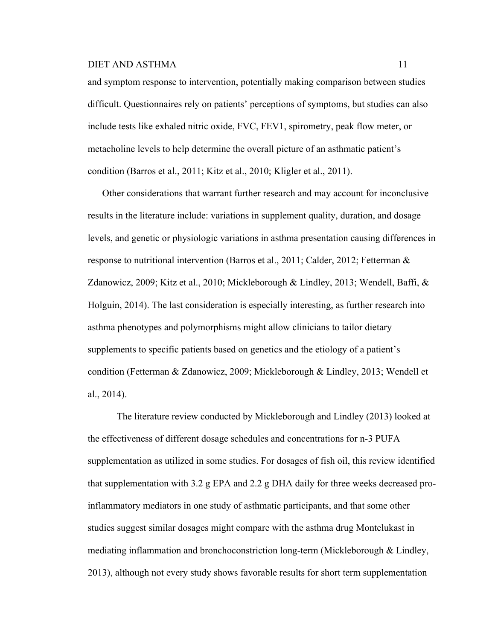and symptom response to intervention, potentially making comparison between studies difficult. Questionnaires rely on patients' perceptions of symptoms, but studies can also include tests like exhaled nitric oxide, FVC, FEV1, spirometry, peak flow meter, or metacholine levels to help determine the overall picture of an asthmatic patient's condition (Barros et al., 2011; Kitz et al., 2010; Kligler et al., 2011).

Other considerations that warrant further research and may account for inconclusive results in the literature include: variations in supplement quality, duration, and dosage levels, and genetic or physiologic variations in asthma presentation causing differences in response to nutritional intervention (Barros et al., 2011; Calder, 2012; Fetterman & Zdanowicz, 2009; Kitz et al., 2010; Mickleborough & Lindley, 2013; Wendell, Baffi, & Holguin, 2014). The last consideration is especially interesting, as further research into asthma phenotypes and polymorphisms might allow clinicians to tailor dietary supplements to specific patients based on genetics and the etiology of a patient's condition (Fetterman & Zdanowicz, 2009; Mickleborough & Lindley, 2013; Wendell et al., 2014).

The literature review conducted by Mickleborough and Lindley (2013) looked at the effectiveness of different dosage schedules and concentrations for n-3 PUFA supplementation as utilized in some studies. For dosages of fish oil, this review identified that supplementation with 3.2 g EPA and 2.2 g DHA daily for three weeks decreased proinflammatory mediators in one study of asthmatic participants, and that some other studies suggest similar dosages might compare with the asthma drug Montelukast in mediating inflammation and bronchoconstriction long-term (Mickleborough & Lindley, 2013), although not every study shows favorable results for short term supplementation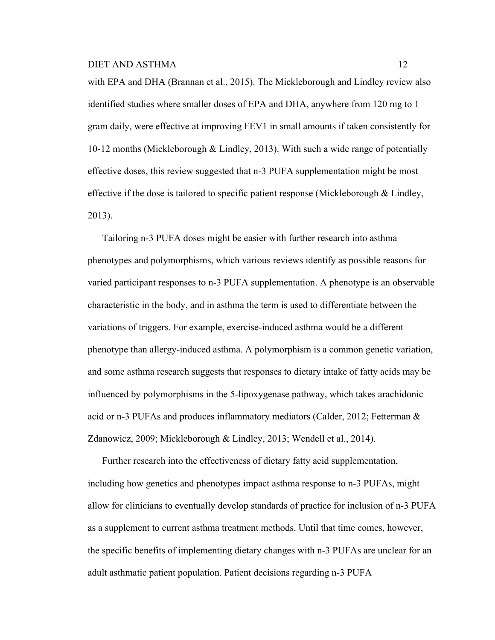with EPA and DHA (Brannan et al., 2015). The Mickleborough and Lindley review also identified studies where smaller doses of EPA and DHA, anywhere from 120 mg to 1 gram daily, were effective at improving FEV1 in small amounts if taken consistently for 10-12 months (Mickleborough & Lindley, 2013). With such a wide range of potentially effective doses, this review suggested that n-3 PUFA supplementation might be most effective if the dose is tailored to specific patient response (Mickleborough & Lindley, 2013).

Tailoring n-3 PUFA doses might be easier with further research into asthma phenotypes and polymorphisms, which various reviews identify as possible reasons for varied participant responses to n-3 PUFA supplementation. A phenotype is an observable characteristic in the body, and in asthma the term is used to differentiate between the variations of triggers. For example, exercise-induced asthma would be a different phenotype than allergy-induced asthma. A polymorphism is a common genetic variation, and some asthma research suggests that responses to dietary intake of fatty acids may be influenced by polymorphisms in the 5-lipoxygenase pathway, which takes arachidonic acid or n-3 PUFAs and produces inflammatory mediators (Calder, 2012; Fetterman & Zdanowicz, 2009; Mickleborough & Lindley, 2013; Wendell et al., 2014).

Further research into the effectiveness of dietary fatty acid supplementation, including how genetics and phenotypes impact asthma response to n-3 PUFAs, might allow for clinicians to eventually develop standards of practice for inclusion of n-3 PUFA as a supplement to current asthma treatment methods. Until that time comes, however, the specific benefits of implementing dietary changes with n-3 PUFAs are unclear for an adult asthmatic patient population. Patient decisions regarding n-3 PUFA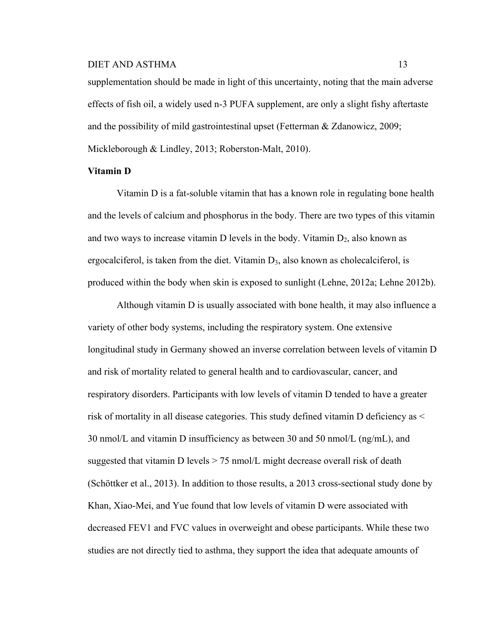supplementation should be made in light of this uncertainty, noting that the main adverse effects of fish oil, a widely used n-3 PUFA supplement, are only a slight fishy aftertaste and the possibility of mild gastrointestinal upset (Fetterman & Zdanowicz, 2009; Mickleborough & Lindley, 2013; Roberston-Malt, 2010).

## **Vitamin D**

Vitamin D is a fat-soluble vitamin that has a known role in regulating bone health and the levels of calcium and phosphorus in the body. There are two types of this vitamin and two ways to increase vitamin D levels in the body. Vitamin  $D_2$ , also known as ergocalciferol, is taken from the diet. Vitamin  $D_3$ , also known as cholecalciferol, is produced within the body when skin is exposed to sunlight (Lehne, 2012a; Lehne 2012b).

Although vitamin D is usually associated with bone health, it may also influence a variety of other body systems, including the respiratory system. One extensive longitudinal study in Germany showed an inverse correlation between levels of vitamin D and risk of mortality related to general health and to cardiovascular, cancer, and respiratory disorders. Participants with low levels of vitamin D tended to have a greater risk of mortality in all disease categories. This study defined vitamin D deficiency as < 30 nmol/L and vitamin D insufficiency as between 30 and 50 nmol/L (ng/mL), and suggested that vitamin D levels > 75 nmol/L might decrease overall risk of death (Schöttker et al., 2013). In addition to those results, a 2013 cross-sectional study done by Khan, Xiao-Mei, and Yue found that low levels of vitamin D were associated with decreased FEV1 and FVC values in overweight and obese participants. While these two studies are not directly tied to asthma, they support the idea that adequate amounts of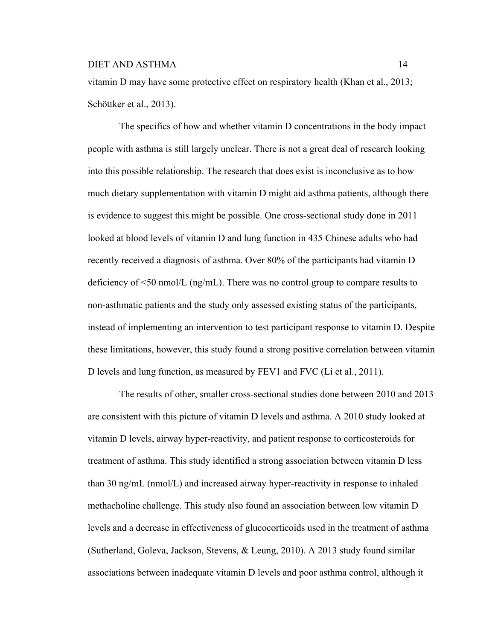vitamin D may have some protective effect on respiratory health (Khan et al., 2013; Schöttker et al., 2013).

The specifics of how and whether vitamin D concentrations in the body impact people with asthma is still largely unclear. There is not a great deal of research looking into this possible relationship. The research that does exist is inconclusive as to how much dietary supplementation with vitamin D might aid asthma patients, although there is evidence to suggest this might be possible. One cross-sectional study done in 2011 looked at blood levels of vitamin D and lung function in 435 Chinese adults who had recently received a diagnosis of asthma. Over 80% of the participants had vitamin D deficiency of  $\leq 50$  nmol/L (ng/mL). There was no control group to compare results to non-asthmatic patients and the study only assessed existing status of the participants, instead of implementing an intervention to test participant response to vitamin D. Despite these limitations, however, this study found a strong positive correlation between vitamin D levels and lung function, as measured by FEV1 and FVC (Li et al., 2011).

The results of other, smaller cross-sectional studies done between 2010 and 2013 are consistent with this picture of vitamin D levels and asthma. A 2010 study looked at vitamin D levels, airway hyper-reactivity, and patient response to corticosteroids for treatment of asthma. This study identified a strong association between vitamin D less than 30 ng/mL (nmol/L) and increased airway hyper-reactivity in response to inhaled methacholine challenge. This study also found an association between low vitamin D levels and a decrease in effectiveness of glucocorticoids used in the treatment of asthma (Sutherland, Goleva, Jackson, Stevens, & Leung, 2010). A 2013 study found similar associations between inadequate vitamin D levels and poor asthma control, although it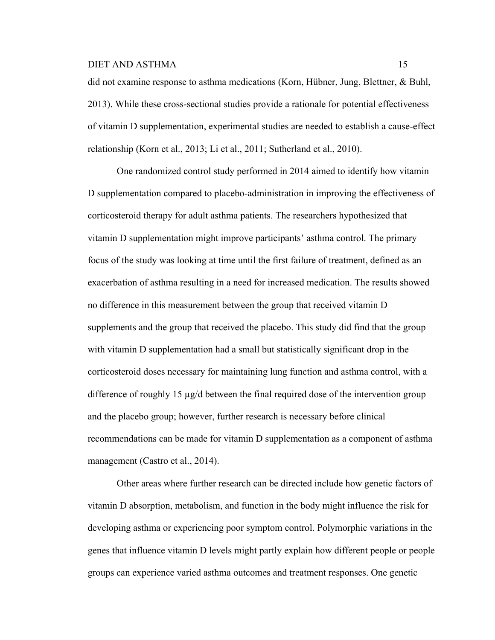did not examine response to asthma medications (Korn, Hübner, Jung, Blettner, & Buhl, 2013). While these cross-sectional studies provide a rationale for potential effectiveness of vitamin D supplementation, experimental studies are needed to establish a cause-effect relationship (Korn et al., 2013; Li et al., 2011; Sutherland et al., 2010).

One randomized control study performed in 2014 aimed to identify how vitamin D supplementation compared to placebo-administration in improving the effectiveness of corticosteroid therapy for adult asthma patients. The researchers hypothesized that vitamin D supplementation might improve participants' asthma control. The primary focus of the study was looking at time until the first failure of treatment, defined as an exacerbation of asthma resulting in a need for increased medication. The results showed no difference in this measurement between the group that received vitamin D supplements and the group that received the placebo. This study did find that the group with vitamin D supplementation had a small but statistically significant drop in the corticosteroid doses necessary for maintaining lung function and asthma control, with a difference of roughly 15  $\mu$ g/d between the final required dose of the intervention group and the placebo group; however, further research is necessary before clinical recommendations can be made for vitamin D supplementation as a component of asthma management (Castro et al., 2014).

Other areas where further research can be directed include how genetic factors of vitamin D absorption, metabolism, and function in the body might influence the risk for developing asthma or experiencing poor symptom control. Polymorphic variations in the genes that influence vitamin D levels might partly explain how different people or people groups can experience varied asthma outcomes and treatment responses. One genetic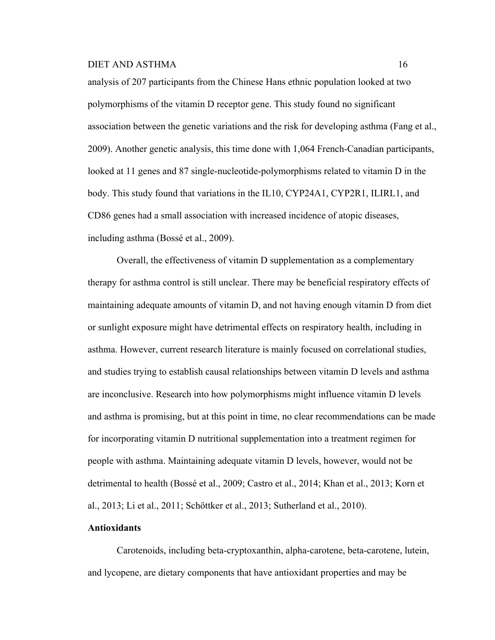analysis of 207 participants from the Chinese Hans ethnic population looked at two polymorphisms of the vitamin D receptor gene. This study found no significant association between the genetic variations and the risk for developing asthma (Fang et al., 2009). Another genetic analysis, this time done with 1,064 French-Canadian participants, looked at 11 genes and 87 single-nucleotide-polymorphisms related to vitamin D in the body. This study found that variations in the IL10, CYP24A1, CYP2R1, ILIRL1, and CD86 genes had a small association with increased incidence of atopic diseases, including asthma (Bossé et al., 2009).

Overall, the effectiveness of vitamin D supplementation as a complementary therapy for asthma control is still unclear. There may be beneficial respiratory effects of maintaining adequate amounts of vitamin D, and not having enough vitamin D from diet or sunlight exposure might have detrimental effects on respiratory health, including in asthma. However, current research literature is mainly focused on correlational studies, and studies trying to establish causal relationships between vitamin D levels and asthma are inconclusive. Research into how polymorphisms might influence vitamin D levels and asthma is promising, but at this point in time, no clear recommendations can be made for incorporating vitamin D nutritional supplementation into a treatment regimen for people with asthma. Maintaining adequate vitamin D levels, however, would not be detrimental to health (Bossé et al., 2009; Castro et al., 2014; Khan et al., 2013; Korn et al., 2013; Li et al., 2011; Schöttker et al., 2013; Sutherland et al., 2010).

# **Antioxidants**

Carotenoids, including beta-cryptoxanthin, alpha-carotene, beta-carotene, lutein, and lycopene, are dietary components that have antioxidant properties and may be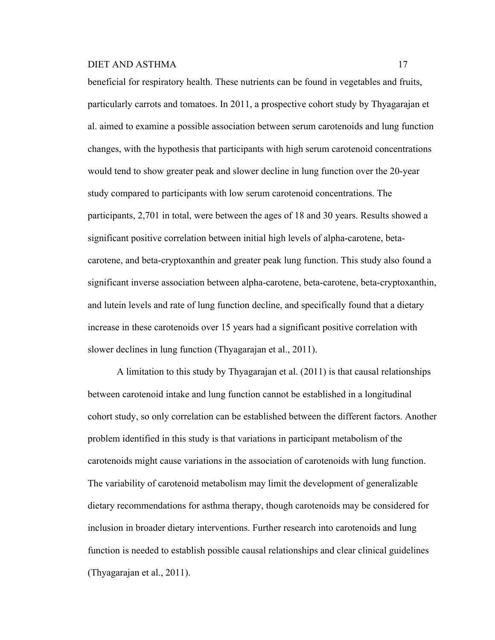beneficial for respiratory health. These nutrients can be found in vegetables and fruits, particularly carrots and tomatoes. In 2011, a prospective cohort study by Thyagarajan et al. aimed to examine a possible association between serum carotenoids and lung function changes, with the hypothesis that participants with high serum carotenoid concentrations would tend to show greater peak and slower decline in lung function over the 20-year study compared to participants with low serum carotenoid concentrations. The participants, 2,701 in total, were between the ages of 18 and 30 years. Results showed a significant positive correlation between initial high levels of alpha-carotene, betacarotene, and beta-cryptoxanthin and greater peak lung function. This study also found a significant inverse association between alpha-carotene, beta-carotene, beta-cryptoxanthin, and lutein levels and rate of lung function decline, and specifically found that a dietary increase in these carotenoids over 15 years had a significant positive correlation with slower declines in lung function (Thyagarajan et al., 2011).

A limitation to this study by Thyagarajan et al. (2011) is that causal relationships between carotenoid intake and lung function cannot be established in a longitudinal cohort study, so only correlation can be established between the different factors. Another problem identified in this study is that variations in participant metabolism of the carotenoids might cause variations in the association of carotenoids with lung function. The variability of carotenoid metabolism may limit the development of generalizable dietary recommendations for asthma therapy, though carotenoids may be considered for inclusion in broader dietary interventions. Further research into carotenoids and lung function is needed to establish possible causal relationships and clear clinical guidelines (Thyagarajan et al., 2011).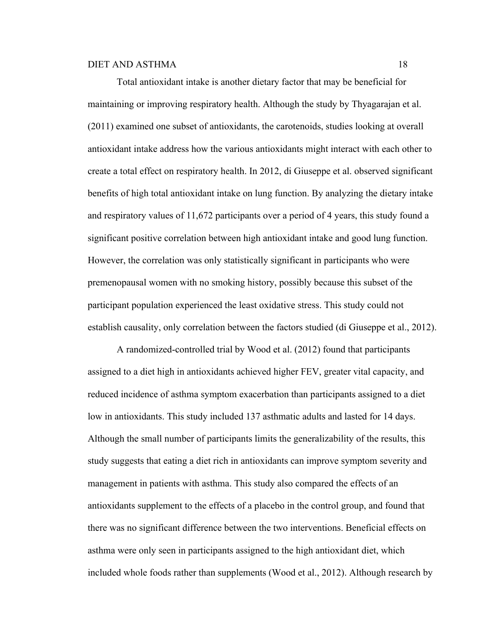Total antioxidant intake is another dietary factor that may be beneficial for maintaining or improving respiratory health. Although the study by Thyagarajan et al. (2011) examined one subset of antioxidants, the carotenoids, studies looking at overall antioxidant intake address how the various antioxidants might interact with each other to create a total effect on respiratory health. In 2012, di Giuseppe et al. observed significant benefits of high total antioxidant intake on lung function. By analyzing the dietary intake and respiratory values of 11,672 participants over a period of 4 years, this study found a significant positive correlation between high antioxidant intake and good lung function. However, the correlation was only statistically significant in participants who were premenopausal women with no smoking history, possibly because this subset of the participant population experienced the least oxidative stress. This study could not establish causality, only correlation between the factors studied (di Giuseppe et al., 2012).

A randomized-controlled trial by Wood et al. (2012) found that participants assigned to a diet high in antioxidants achieved higher FEV, greater vital capacity, and reduced incidence of asthma symptom exacerbation than participants assigned to a diet low in antioxidants. This study included 137 asthmatic adults and lasted for 14 days. Although the small number of participants limits the generalizability of the results, this study suggests that eating a diet rich in antioxidants can improve symptom severity and management in patients with asthma. This study also compared the effects of an antioxidants supplement to the effects of a placebo in the control group, and found that there was no significant difference between the two interventions. Beneficial effects on asthma were only seen in participants assigned to the high antioxidant diet, which included whole foods rather than supplements (Wood et al., 2012). Although research by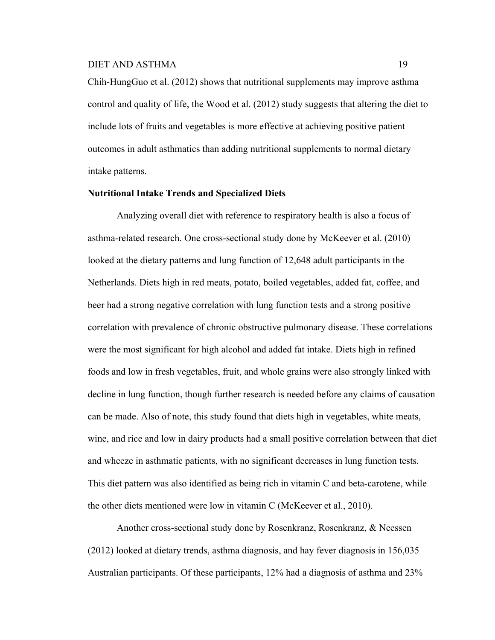Chih-HungGuo et al. (2012) shows that nutritional supplements may improve asthma control and quality of life, the Wood et al. (2012) study suggests that altering the diet to include lots of fruits and vegetables is more effective at achieving positive patient outcomes in adult asthmatics than adding nutritional supplements to normal dietary intake patterns.

# **Nutritional Intake Trends and Specialized Diets**

Analyzing overall diet with reference to respiratory health is also a focus of asthma-related research. One cross-sectional study done by McKeever et al. (2010) looked at the dietary patterns and lung function of 12,648 adult participants in the Netherlands. Diets high in red meats, potato, boiled vegetables, added fat, coffee, and beer had a strong negative correlation with lung function tests and a strong positive correlation with prevalence of chronic obstructive pulmonary disease. These correlations were the most significant for high alcohol and added fat intake. Diets high in refined foods and low in fresh vegetables, fruit, and whole grains were also strongly linked with decline in lung function, though further research is needed before any claims of causation can be made. Also of note, this study found that diets high in vegetables, white meats, wine, and rice and low in dairy products had a small positive correlation between that diet and wheeze in asthmatic patients, with no significant decreases in lung function tests. This diet pattern was also identified as being rich in vitamin C and beta-carotene, while the other diets mentioned were low in vitamin C (McKeever et al., 2010).

Another cross-sectional study done by Rosenkranz, Rosenkranz, & Neessen (2012) looked at dietary trends, asthma diagnosis, and hay fever diagnosis in 156,035 Australian participants. Of these participants, 12% had a diagnosis of asthma and 23%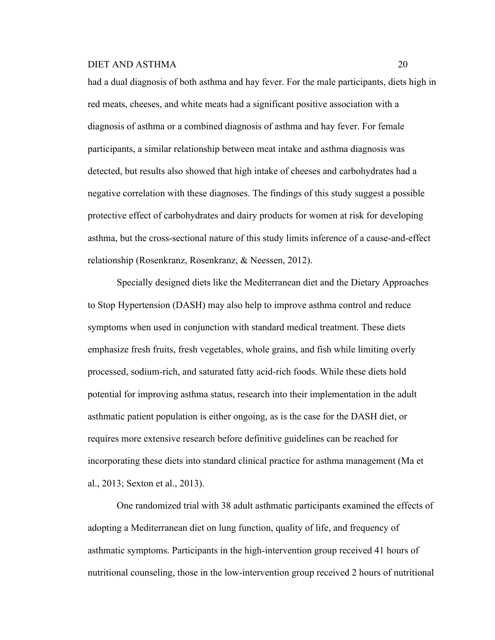had a dual diagnosis of both asthma and hay fever. For the male participants, diets high in red meats, cheeses, and white meats had a significant positive association with a diagnosis of asthma or a combined diagnosis of asthma and hay fever. For female participants, a similar relationship between meat intake and asthma diagnosis was detected, but results also showed that high intake of cheeses and carbohydrates had a negative correlation with these diagnoses. The findings of this study suggest a possible protective effect of carbohydrates and dairy products for women at risk for developing asthma, but the cross-sectional nature of this study limits inference of a cause-and-effect relationship (Rosenkranz, Rosenkranz, & Neessen, 2012).

Specially designed diets like the Mediterranean diet and the Dietary Approaches to Stop Hypertension (DASH) may also help to improve asthma control and reduce symptoms when used in conjunction with standard medical treatment. These diets emphasize fresh fruits, fresh vegetables, whole grains, and fish while limiting overly processed, sodium-rich, and saturated fatty acid-rich foods. While these diets hold potential for improving asthma status, research into their implementation in the adult asthmatic patient population is either ongoing, as is the case for the DASH diet, or requires more extensive research before definitive guidelines can be reached for incorporating these diets into standard clinical practice for asthma management (Ma et al., 2013; Sexton et al., 2013).

One randomized trial with 38 adult asthmatic participants examined the effects of adopting a Mediterranean diet on lung function, quality of life, and frequency of asthmatic symptoms. Participants in the high-intervention group received 41 hours of nutritional counseling, those in the low-intervention group received 2 hours of nutritional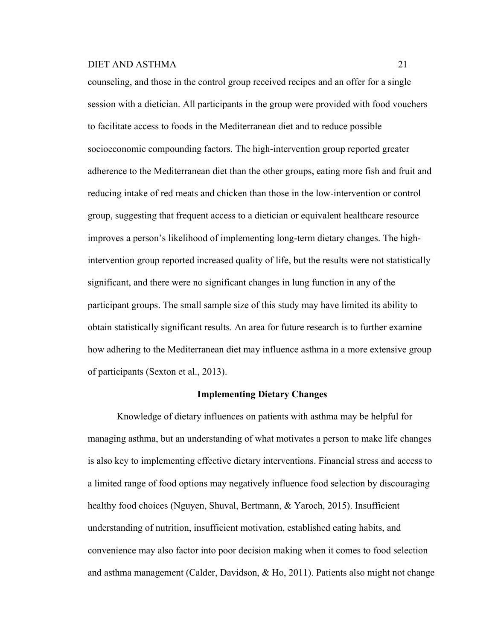counseling, and those in the control group received recipes and an offer for a single session with a dietician. All participants in the group were provided with food vouchers to facilitate access to foods in the Mediterranean diet and to reduce possible socioeconomic compounding factors. The high-intervention group reported greater adherence to the Mediterranean diet than the other groups, eating more fish and fruit and reducing intake of red meats and chicken than those in the low-intervention or control group, suggesting that frequent access to a dietician or equivalent healthcare resource improves a person's likelihood of implementing long-term dietary changes. The highintervention group reported increased quality of life, but the results were not statistically significant, and there were no significant changes in lung function in any of the participant groups. The small sample size of this study may have limited its ability to obtain statistically significant results. An area for future research is to further examine how adhering to the Mediterranean diet may influence asthma in a more extensive group of participants (Sexton et al., 2013).

## **Implementing Dietary Changes**

Knowledge of dietary influences on patients with asthma may be helpful for managing asthma, but an understanding of what motivates a person to make life changes is also key to implementing effective dietary interventions. Financial stress and access to a limited range of food options may negatively influence food selection by discouraging healthy food choices (Nguyen, Shuval, Bertmann, & Yaroch, 2015). Insufficient understanding of nutrition, insufficient motivation, established eating habits, and convenience may also factor into poor decision making when it comes to food selection and asthma management (Calder, Davidson, & Ho, 2011). Patients also might not change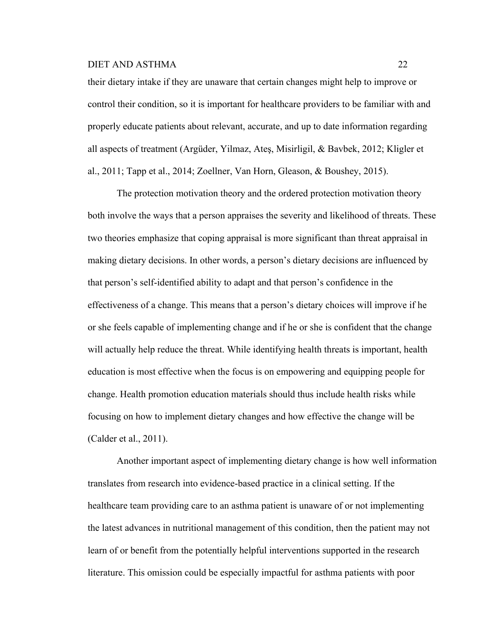their dietary intake if they are unaware that certain changes might help to improve or control their condition, so it is important for healthcare providers to be familiar with and properly educate patients about relevant, accurate, and up to date information regarding all aspects of treatment (Argüder, Yilmaz, Ateş, Misirligil, & Bavbek, 2012; Kligler et al., 2011; Tapp et al., 2014; Zoellner, Van Horn, Gleason, & Boushey, 2015).

The protection motivation theory and the ordered protection motivation theory both involve the ways that a person appraises the severity and likelihood of threats. These two theories emphasize that coping appraisal is more significant than threat appraisal in making dietary decisions. In other words, a person's dietary decisions are influenced by that person's self-identified ability to adapt and that person's confidence in the effectiveness of a change. This means that a person's dietary choices will improve if he or she feels capable of implementing change and if he or she is confident that the change will actually help reduce the threat. While identifying health threats is important, health education is most effective when the focus is on empowering and equipping people for change. Health promotion education materials should thus include health risks while focusing on how to implement dietary changes and how effective the change will be (Calder et al., 2011).

Another important aspect of implementing dietary change is how well information translates from research into evidence-based practice in a clinical setting. If the healthcare team providing care to an asthma patient is unaware of or not implementing the latest advances in nutritional management of this condition, then the patient may not learn of or benefit from the potentially helpful interventions supported in the research literature. This omission could be especially impactful for asthma patients with poor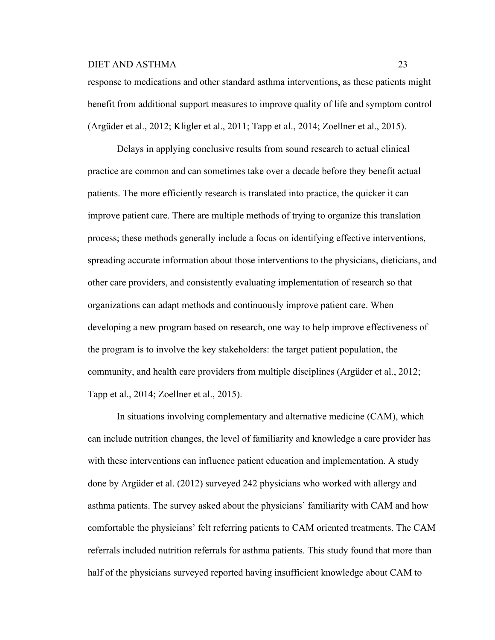response to medications and other standard asthma interventions, as these patients might benefit from additional support measures to improve quality of life and symptom control (Argüder et al., 2012; Kligler et al., 2011; Tapp et al., 2014; Zoellner et al., 2015).

Delays in applying conclusive results from sound research to actual clinical practice are common and can sometimes take over a decade before they benefit actual patients. The more efficiently research is translated into practice, the quicker it can improve patient care. There are multiple methods of trying to organize this translation process; these methods generally include a focus on identifying effective interventions, spreading accurate information about those interventions to the physicians, dieticians, and other care providers, and consistently evaluating implementation of research so that organizations can adapt methods and continuously improve patient care. When developing a new program based on research, one way to help improve effectiveness of the program is to involve the key stakeholders: the target patient population, the community, and health care providers from multiple disciplines (Argüder et al., 2012; Tapp et al., 2014; Zoellner et al., 2015).

In situations involving complementary and alternative medicine (CAM), which can include nutrition changes, the level of familiarity and knowledge a care provider has with these interventions can influence patient education and implementation. A study done by Argüder et al. (2012) surveyed 242 physicians who worked with allergy and asthma patients. The survey asked about the physicians' familiarity with CAM and how comfortable the physicians' felt referring patients to CAM oriented treatments. The CAM referrals included nutrition referrals for asthma patients. This study found that more than half of the physicians surveyed reported having insufficient knowledge about CAM to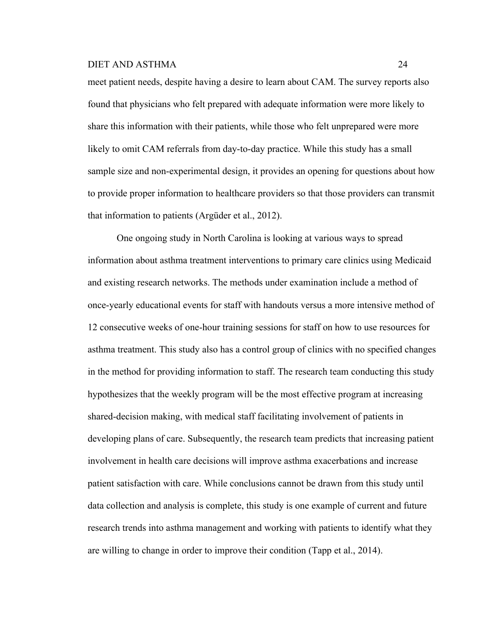meet patient needs, despite having a desire to learn about CAM. The survey reports also found that physicians who felt prepared with adequate information were more likely to share this information with their patients, while those who felt unprepared were more likely to omit CAM referrals from day-to-day practice. While this study has a small sample size and non-experimental design, it provides an opening for questions about how to provide proper information to healthcare providers so that those providers can transmit that information to patients (Argüder et al., 2012).

One ongoing study in North Carolina is looking at various ways to spread information about asthma treatment interventions to primary care clinics using Medicaid and existing research networks. The methods under examination include a method of once-yearly educational events for staff with handouts versus a more intensive method of 12 consecutive weeks of one-hour training sessions for staff on how to use resources for asthma treatment. This study also has a control group of clinics with no specified changes in the method for providing information to staff. The research team conducting this study hypothesizes that the weekly program will be the most effective program at increasing shared-decision making, with medical staff facilitating involvement of patients in developing plans of care. Subsequently, the research team predicts that increasing patient involvement in health care decisions will improve asthma exacerbations and increase patient satisfaction with care. While conclusions cannot be drawn from this study until data collection and analysis is complete, this study is one example of current and future research trends into asthma management and working with patients to identify what they are willing to change in order to improve their condition (Tapp et al., 2014).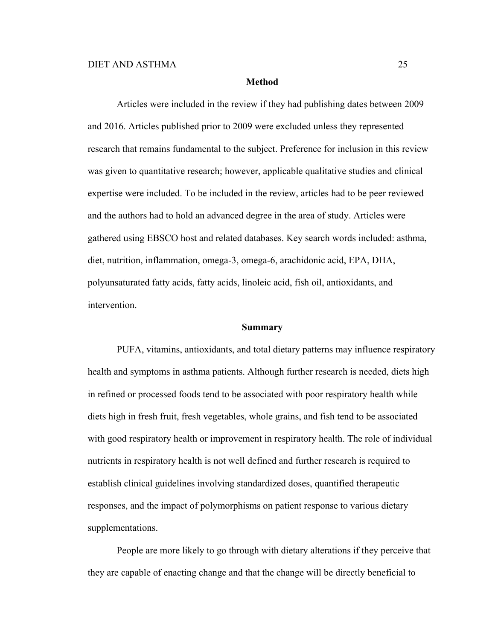#### **Method**

Articles were included in the review if they had publishing dates between 2009 and 2016. Articles published prior to 2009 were excluded unless they represented research that remains fundamental to the subject. Preference for inclusion in this review was given to quantitative research; however, applicable qualitative studies and clinical expertise were included. To be included in the review, articles had to be peer reviewed and the authors had to hold an advanced degree in the area of study. Articles were gathered using EBSCO host and related databases. Key search words included: asthma, diet, nutrition, inflammation, omega-3, omega-6, arachidonic acid, EPA, DHA, polyunsaturated fatty acids, fatty acids, linoleic acid, fish oil, antioxidants, and intervention.

## **Summary**

PUFA, vitamins, antioxidants, and total dietary patterns may influence respiratory health and symptoms in asthma patients. Although further research is needed, diets high in refined or processed foods tend to be associated with poor respiratory health while diets high in fresh fruit, fresh vegetables, whole grains, and fish tend to be associated with good respiratory health or improvement in respiratory health. The role of individual nutrients in respiratory health is not well defined and further research is required to establish clinical guidelines involving standardized doses, quantified therapeutic responses, and the impact of polymorphisms on patient response to various dietary supplementations.

People are more likely to go through with dietary alterations if they perceive that they are capable of enacting change and that the change will be directly beneficial to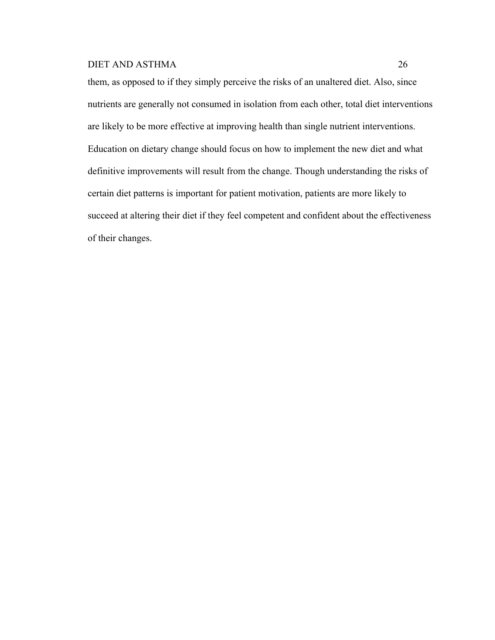them, as opposed to if they simply perceive the risks of an unaltered diet. Also, since nutrients are generally not consumed in isolation from each other, total diet interventions are likely to be more effective at improving health than single nutrient interventions. Education on dietary change should focus on how to implement the new diet and what definitive improvements will result from the change. Though understanding the risks of certain diet patterns is important for patient motivation, patients are more likely to succeed at altering their diet if they feel competent and confident about the effectiveness of their changes.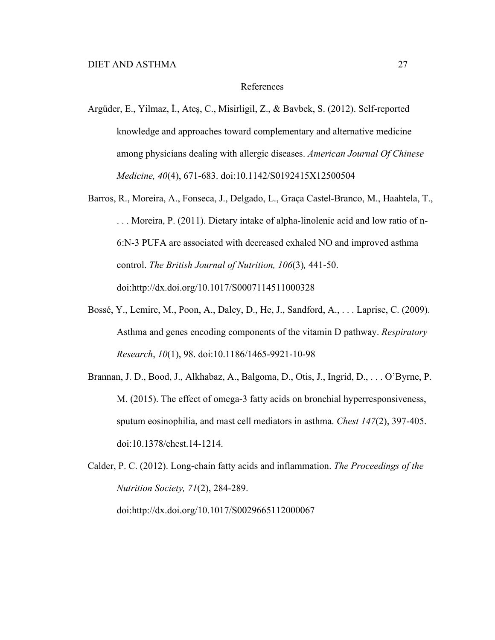## References

- Argüder, E., Yilmaz, İ., Ateş, C., Misirligil, Z., & Bavbek, S. (2012). Self-reported knowledge and approaches toward complementary and alternative medicine among physicians dealing with allergic diseases. *American Journal Of Chinese Medicine, 40*(4), 671-683. doi:10.1142/S0192415X12500504
- Barros, R., Moreira, A., Fonseca, J., Delgado, L., Graça Castel-Branco, M., Haahtela, T., . . . Moreira, P. (2011). Dietary intake of alpha-linolenic acid and low ratio of n-6:N-3 PUFA are associated with decreased exhaled NO and improved asthma control. *The British Journal of Nutrition, 106*(3)*,* 441-50. doi:http://dx.doi.org/10.1017/S0007114511000328
- Bossé, Y., Lemire, M., Poon, A., Daley, D., He, J., Sandford, A., . . . Laprise, C. (2009). Asthma and genes encoding components of the vitamin D pathway. *Respiratory Research*, *10*(1), 98. doi:10.1186/1465-9921-10-98
- Brannan, J. D., Bood, J., Alkhabaz, A., Balgoma, D., Otis, J., Ingrid, D., . . . O'Byrne, P. M. (2015). The effect of omega-3 fatty acids on bronchial hyperresponsiveness, sputum eosinophilia, and mast cell mediators in asthma. *Chest 147*(2), 397-405. doi:10.1378/chest.14-1214.

Calder, P. C. (2012). Long-chain fatty acids and inflammation. *The Proceedings of the Nutrition Society, 71*(2), 284-289. doi:http://dx.doi.org/10.1017/S0029665112000067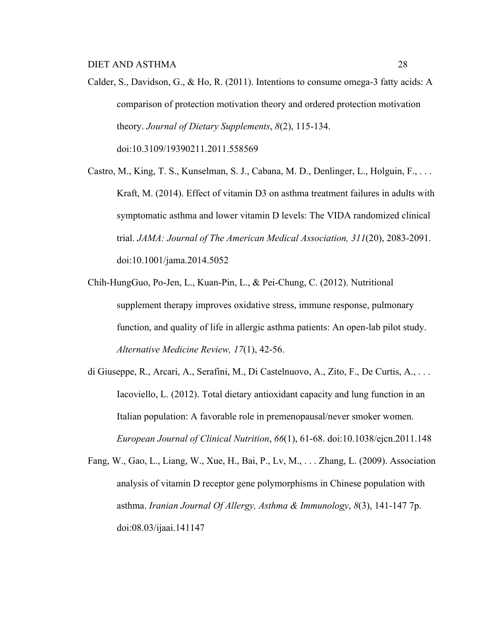Calder, S., Davidson, G., & Ho, R. (2011). Intentions to consume omega-3 fatty acids: A comparison of protection motivation theory and ordered protection motivation theory. *Journal of Dietary Supplements*, *8*(2), 115-134. doi:10.3109/19390211.2011.558569

Castro, M., King, T. S., Kunselman, S. J., Cabana, M. D., Denlinger, L., Holguin, F., . . . Kraft, M. (2014). Effect of vitamin D3 on asthma treatment failures in adults with symptomatic asthma and lower vitamin D levels: The VIDA randomized clinical trial. *JAMA: Journal of The American Medical Association, 311*(20), 2083-2091. doi:10.1001/jama.2014.5052

Chih-HungGuo, Po-Jen, L., Kuan-Pin, L., & Pei-Chung, C. (2012). Nutritional supplement therapy improves oxidative stress, immune response, pulmonary function, and quality of life in allergic asthma patients: An open-lab pilot study. *Alternative Medicine Review, 17*(1), 42-56.

di Giuseppe, R., Arcari, A., Serafini, M., Di Castelnuovo, A., Zito, F., De Curtis, A., . . . Iacoviello, L. (2012). Total dietary antioxidant capacity and lung function in an Italian population: A favorable role in premenopausal/never smoker women. *European Journal of Clinical Nutrition*, *66*(1), 61-68. doi:10.1038/ejcn.2011.148

Fang, W., Gao, L., Liang, W., Xue, H., Bai, P., Lv, M., . . . Zhang, L. (2009). Association analysis of vitamin D receptor gene polymorphisms in Chinese population with asthma. *Iranian Journal Of Allergy, Asthma & Immunology*, *8*(3), 141-147 7p. doi:08.03/ijaai.141147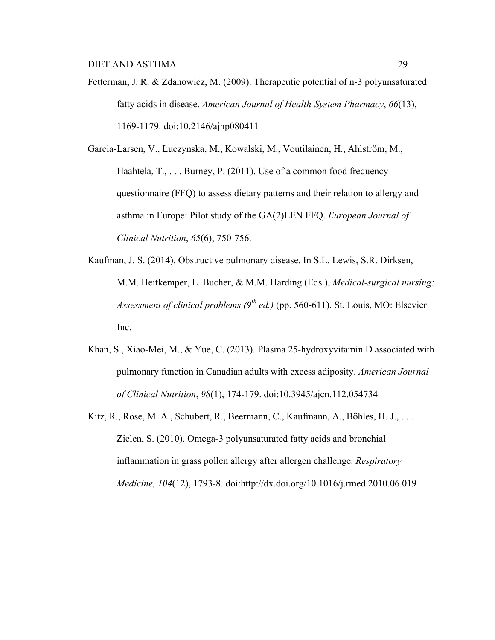Fetterman, J. R. & Zdanowicz, M. (2009). Therapeutic potential of n-3 polyunsaturated fatty acids in disease. *American Journal of Health-System Pharmacy*, *66*(13), 1169-1179. doi:10.2146/ajhp080411

Garcia-Larsen, V., Luczynska, M., Kowalski, M., Voutilainen, H., Ahlström, M., Haahtela, T., . . . Burney, P. (2011). Use of a common food frequency questionnaire (FFQ) to assess dietary patterns and their relation to allergy and asthma in Europe: Pilot study of the GA(2)LEN FFQ. *European Journal of Clinical Nutrition*, *65*(6), 750-756.

- Kaufman, J. S. (2014). Obstructive pulmonary disease. In S.L. Lewis, S.R. Dirksen, M.M. Heitkemper, L. Bucher, & M.M. Harding (Eds.), *Medical-surgical nursing: Assessment of clinical problems (9th ed.)* (pp. 560-611). St. Louis, MO: Elsevier Inc.
- Khan, S., Xiao-Mei, M., & Yue, C. (2013). Plasma 25-hydroxyvitamin D associated with pulmonary function in Canadian adults with excess adiposity. *American Journal of Clinical Nutrition*, *98*(1), 174-179. doi:10.3945/ajcn.112.054734
- Kitz, R., Rose, M. A., Schubert, R., Beermann, C., Kaufmann, A., Böhles, H. J., . . . Zielen, S. (2010). Omega-3 polyunsaturated fatty acids and bronchial inflammation in grass pollen allergy after allergen challenge. *Respiratory Medicine, 104*(12), 1793-8. doi:http://dx.doi.org/10.1016/j.rmed.2010.06.019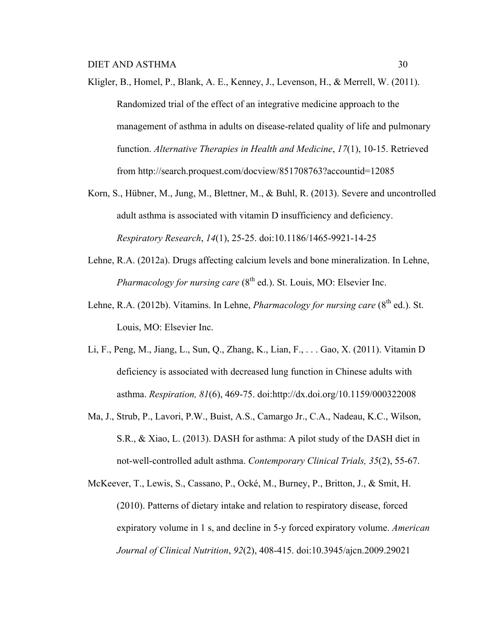- Kligler, B., Homel, P., Blank, A. E., Kenney, J., Levenson, H., & Merrell, W. (2011). Randomized trial of the effect of an integrative medicine approach to the management of asthma in adults on disease-related quality of life and pulmonary function. *Alternative Therapies in Health and Medicine*, *17*(1), 10-15. Retrieved from http://search.proquest.com/docview/851708763?accountid=12085
- Korn, S., Hübner, M., Jung, M., Blettner, M., & Buhl, R. (2013). Severe and uncontrolled adult asthma is associated with vitamin D insufficiency and deficiency. *Respiratory Research*, *14*(1), 25-25. doi:10.1186/1465-9921-14-25
- Lehne, R.A. (2012a). Drugs affecting calcium levels and bone mineralization. In Lehne, *Pharmacology for nursing care* (8<sup>th</sup> ed.). St. Louis, MO: Elsevier Inc.
- Lehne, R.A. (2012b). Vitamins. In Lehne, *Pharmacology for nursing care* (8<sup>th</sup> ed.). St. Louis, MO: Elsevier Inc.
- Li, F., Peng, M., Jiang, L., Sun, Q., Zhang, K., Lian, F., . . . Gao, X. (2011). Vitamin D deficiency is associated with decreased lung function in Chinese adults with asthma. *Respiration, 81*(6), 469-75. doi:http://dx.doi.org/10.1159/000322008
- Ma, J., Strub, P., Lavori, P.W., Buist, A.S., Camargo Jr., C.A., Nadeau, K.C., Wilson, S.R., & Xiao, L. (2013). DASH for asthma: A pilot study of the DASH diet in not-well-controlled adult asthma. *Contemporary Clinical Trials, 35*(2), 55-67.
- McKeever, T., Lewis, S., Cassano, P., Ocké, M., Burney, P., Britton, J., & Smit, H. (2010). Patterns of dietary intake and relation to respiratory disease, forced expiratory volume in 1 s, and decline in 5-y forced expiratory volume. *American Journal of Clinical Nutrition*, *92*(2), 408-415. doi:10.3945/ajcn.2009.29021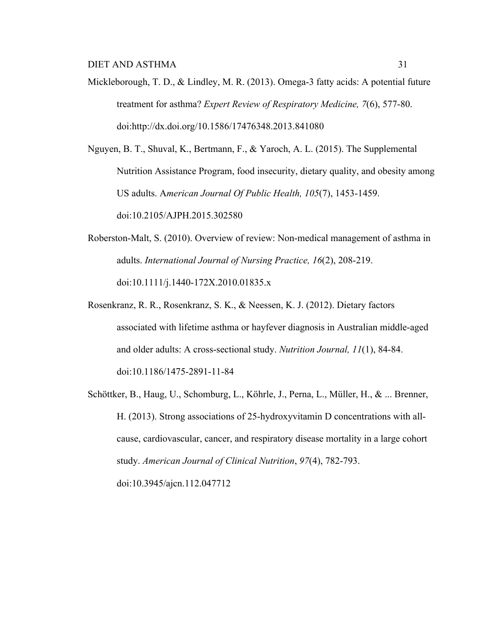Mickleborough, T. D., & Lindley, M. R. (2013). Omega-3 fatty acids: A potential future treatment for asthma? *Expert Review of Respiratory Medicine, 7*(6), 577-80. doi:http://dx.doi.org/10.1586/17476348.2013.841080

Nguyen, B. T., Shuval, K., Bertmann, F., & Yaroch, A. L. (2015). The Supplemental Nutrition Assistance Program, food insecurity, dietary quality, and obesity among US adults. A*merican Journal Of Public Health, 105*(7), 1453-1459. doi:10.2105/AJPH.2015.302580

- Roberston-Malt, S. (2010). Overview of review: Non-medical management of asthma in adults. *International Journal of Nursing Practice, 16*(2), 208-219. doi:10.1111/j.1440-172X.2010.01835.x
- Rosenkranz, R. R., Rosenkranz, S. K., & Neessen, K. J. (2012). Dietary factors associated with lifetime asthma or hayfever diagnosis in Australian middle-aged and older adults: A cross-sectional study. *Nutrition Journal, 11*(1), 84-84. doi:10.1186/1475-2891-11-84
- Schöttker, B., Haug, U., Schomburg, L., Köhrle, J., Perna, L., Müller, H., & ... Brenner, H. (2013). Strong associations of 25-hydroxyvitamin D concentrations with allcause, cardiovascular, cancer, and respiratory disease mortality in a large cohort study. *American Journal of Clinical Nutrition*, *97*(4), 782-793. doi:10.3945/ajcn.112.047712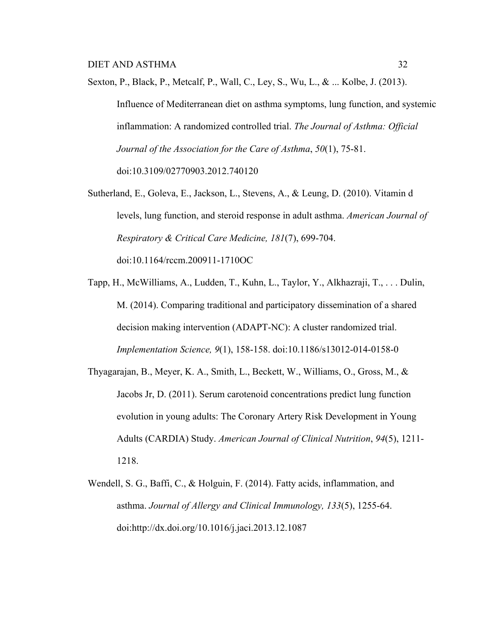- Sexton, P., Black, P., Metcalf, P., Wall, C., Ley, S., Wu, L., & ... Kolbe, J. (2013). Influence of Mediterranean diet on asthma symptoms, lung function, and systemic inflammation: A randomized controlled trial. *The Journal of Asthma: Official Journal of the Association for the Care of Asthma*, *50*(1), 75-81. doi:10.3109/02770903.2012.740120
- Sutherland, E., Goleva, E., Jackson, L., Stevens, A., & Leung, D. (2010). Vitamin d levels, lung function, and steroid response in adult asthma. *American Journal of Respiratory & Critical Care Medicine, 181*(7), 699-704. doi:10.1164/rccm.200911-1710OC
- Tapp, H., McWilliams, A., Ludden, T., Kuhn, L., Taylor, Y., Alkhazraji, T., . . . Dulin, M. (2014). Comparing traditional and participatory dissemination of a shared decision making intervention (ADAPT-NC): A cluster randomized trial. *Implementation Science, 9*(1), 158-158. doi:10.1186/s13012-014-0158-0
- Thyagarajan, B., Meyer, K. A., Smith, L., Beckett, W., Williams, O., Gross, M., & Jacobs Jr, D. (2011). Serum carotenoid concentrations predict lung function evolution in young adults: The Coronary Artery Risk Development in Young Adults (CARDIA) Study. *American Journal of Clinical Nutrition*, *94*(5), 1211- 1218.
- Wendell, S. G., Baffi, C., & Holguin, F. (2014). Fatty acids, inflammation, and asthma. *Journal of Allergy and Clinical Immunology, 133*(5), 1255-64. doi:http://dx.doi.org/10.1016/j.jaci.2013.12.1087